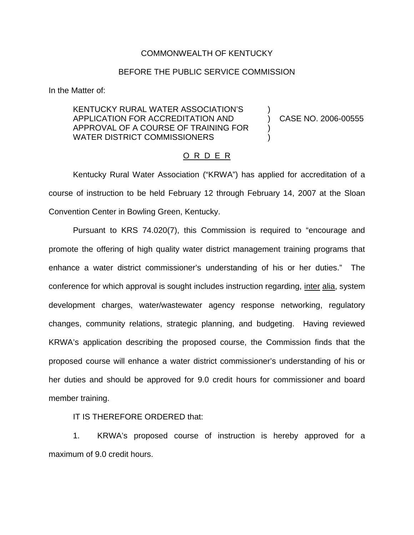## COMMONWEALTH OF KENTUCKY

## BEFORE THE PUBLIC SERVICE COMMISSION

In the Matter of:

## KENTUCKY RURAL WATER ASSOCIATION'S ) APPLICATION FOR ACCREDITATION AND ) CASE NO. 2006-00555 APPROVAL OF A COURSE OF TRAINING FOR ) WATER DISTRICT COMMISSIONERS

## O R D E R

Kentucky Rural Water Association ("KRWA") has applied for accreditation of a course of instruction to be held February 12 through February 14, 2007 at the Sloan Convention Center in Bowling Green, Kentucky.

Pursuant to KRS 74.020(7), this Commission is required to "encourage and promote the offering of high quality water district management training programs that enhance a water district commissioner's understanding of his or her duties." The conference for which approval is sought includes instruction regarding, inter alia, system development charges, water/wastewater agency response networking, regulatory changes, community relations, strategic planning, and budgeting. Having reviewed KRWA's application describing the proposed course, the Commission finds that the proposed course will enhance a water district commissioner's understanding of his or her duties and should be approved for 9.0 credit hours for commissioner and board member training.

IT IS THEREFORE ORDERED that:

1. KRWA's proposed course of instruction is hereby approved for a maximum of 9.0 credit hours.